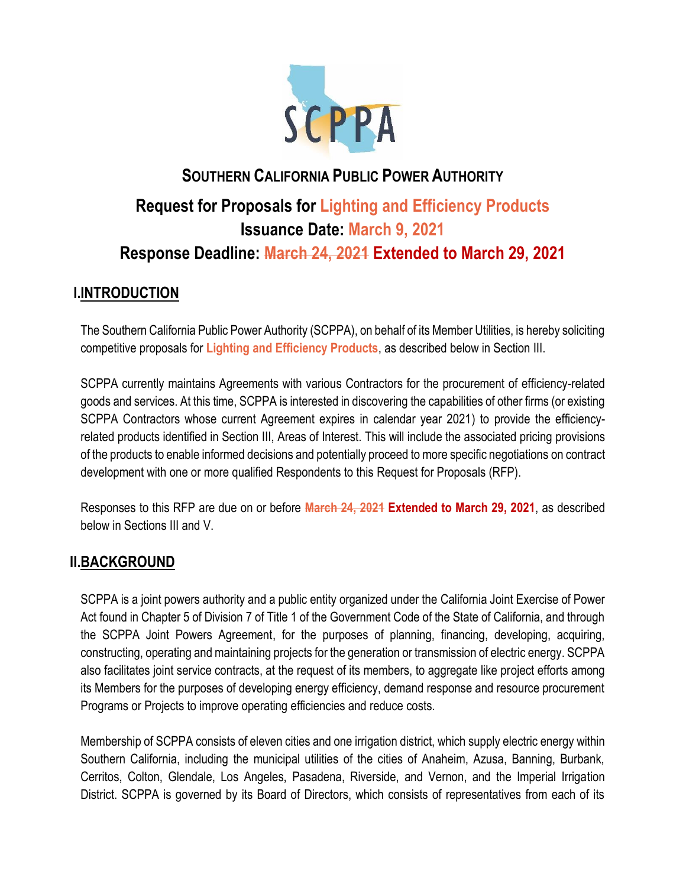

# **SOUTHERN CALIFORNIA PUBLIC POWER AUTHORITY Request for Proposals for Lighting and Efficiency Products Issuance Date: March 9, 2021 Response Deadline: March 24, 2021 Extended to March 29, 2021**

# **I.INTRODUCTION**

The Southern California Public Power Authority (SCPPA), on behalf of its Member Utilities, is hereby soliciting competitive proposals for **Lighting and Efficiency Products**, as described below in Section III.

SCPPA currently maintains Agreements with various Contractors for the procurement of efficiency-related goods and services. At this time, SCPPA is interested in discovering the capabilities of other firms (or existing SCPPA Contractors whose current Agreement expires in calendar year 2021) to provide the efficiencyrelated products identified in Section III, Areas of Interest. This will include the associated pricing provisions of the products to enable informed decisions and potentially proceed to more specific negotiations on contract development with one or more qualified Respondents to this Request for Proposals (RFP).

Responses to this RFP are due on or before **March 24, 2021 Extended to March 29, 2021**, as described below in Sections III and V.

# **II.BACKGROUND**

SCPPA is a joint powers authority and a public entity organized under the California Joint Exercise of Power Act found in Chapter 5 of Division 7 of Title 1 of the Government Code of the State of California, and through the SCPPA Joint Powers Agreement, for the purposes of planning, financing, developing, acquiring, constructing, operating and maintaining projects for the generation or transmission of electric energy. SCPPA also facilitates joint service contracts, at the request of its members, to aggregate like project efforts among its Members for the purposes of developing energy efficiency, demand response and resource procurement Programs or Projects to improve operating efficiencies and reduce costs.

Membership of SCPPA consists of eleven cities and one irrigation district, which supply electric energy within Southern California, including the municipal utilities of the cities of Anaheim, Azusa, Banning, Burbank, Cerritos, Colton, Glendale, Los Angeles, Pasadena, Riverside, and Vernon, and the Imperial Irrigation District. SCPPA is governed by its Board of Directors, which consists of representatives from each of its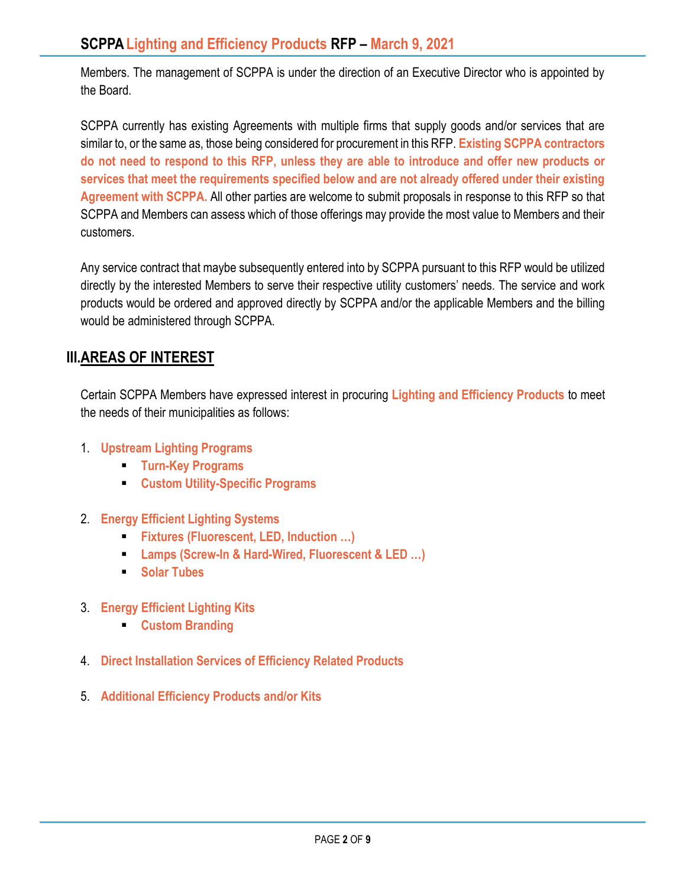Members. The management of SCPPA is under the direction of an Executive Director who is appointed by the Board.

SCPPA currently has existing Agreements with multiple firms that supply goods and/or services that are similar to, or the same as, those being considered for procurement in this RFP. **Existing SCPPA contractors do not need to respond to this RFP, unless they are able to introduce and offer new products or services that meet the requirements specified below and are not already offered under their existing Agreement with SCPPA.** All other parties are welcome to submit proposals in response to this RFP so that SCPPA and Members can assess which of those offerings may provide the most value to Members and their customers.

Any service contract that maybe subsequently entered into by SCPPA pursuant to this RFP would be utilized directly by the interested Members to serve their respective utility customers' needs. The service and work products would be ordered and approved directly by SCPPA and/or the applicable Members and the billing would be administered through SCPPA.

# **III.AREAS OF INTEREST**

Certain SCPPA Members have expressed interest in procuring **Lighting and Efficiency Products** to meet the needs of their municipalities as follows:

- 1. **Upstream Lighting Programs**
	- **Turn-Key Programs**
	- **Custom Utility-Specific Programs**
- 2. **Energy Efficient Lighting Systems**
	- **Fixtures (Fluorescent, LED, Induction …)**
	- **Lamps (Screw-In & Hard-Wired, Fluorescent & LED …)**
	- **Solar Tubes**
- 3. **Energy Efficient Lighting Kits**
	- **Custom Branding**
- 4. **Direct Installation Services of Efficiency Related Products**
- 5. **Additional Efficiency Products and/or Kits**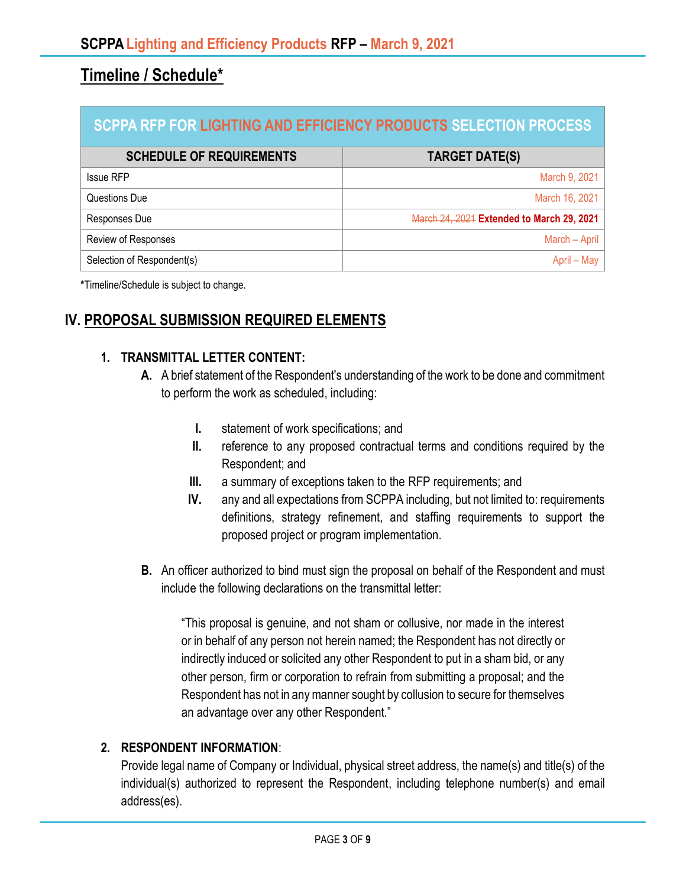# **Timeline / Schedule\***

| <b>SCPPA RFP FOR LIGHTING AND EFFICIENCY PRODUCTS SELECTION PROCESS</b> |                                           |
|-------------------------------------------------------------------------|-------------------------------------------|
| <b>SCHEDULE OF REQUIREMENTS</b>                                         | <b>TARGET DATE(S)</b>                     |
| <b>Issue RFP</b>                                                        | March 9, 2021                             |
| Questions Due                                                           | March 16, 2021                            |
| Responses Due                                                           | March 24, 2021 Extended to March 29, 2021 |
| Review of Responses                                                     | March - April                             |
| Selection of Respondent(s)                                              | April – May                               |

**\***Timeline/Schedule is subject to change.

# **IV. PROPOSAL SUBMISSION REQUIRED ELEMENTS**

#### **1. TRANSMITTAL LETTER CONTENT:**

- **A.** A brief statement of the Respondent's understanding of the work to be done and commitment to perform the work as scheduled, including:
	- **I.** statement of work specifications; and
	- **II.** reference to any proposed contractual terms and conditions required by the Respondent; and
	- **III.** a summary of exceptions taken to the RFP requirements; and
	- **IV.** any and all expectations from SCPPA including, but not limited to: requirements definitions, strategy refinement, and staffing requirements to support the proposed project or program implementation.
- **B.** An officer authorized to bind must sign the proposal on behalf of the Respondent and must include the following declarations on the transmittal letter:

"This proposal is genuine, and not sham or collusive, nor made in the interest or in behalf of any person not herein named; the Respondent has not directly or indirectly induced or solicited any other Respondent to put in a sham bid, or any other person, firm or corporation to refrain from submitting a proposal; and the Respondent has not in any manner sought by collusion to secure for themselves an advantage over any other Respondent."

#### **2. RESPONDENT INFORMATION**:

Provide legal name of Company or Individual, physical street address, the name(s) and title(s) of the individual(s) authorized to represent the Respondent, including telephone number(s) and email address(es).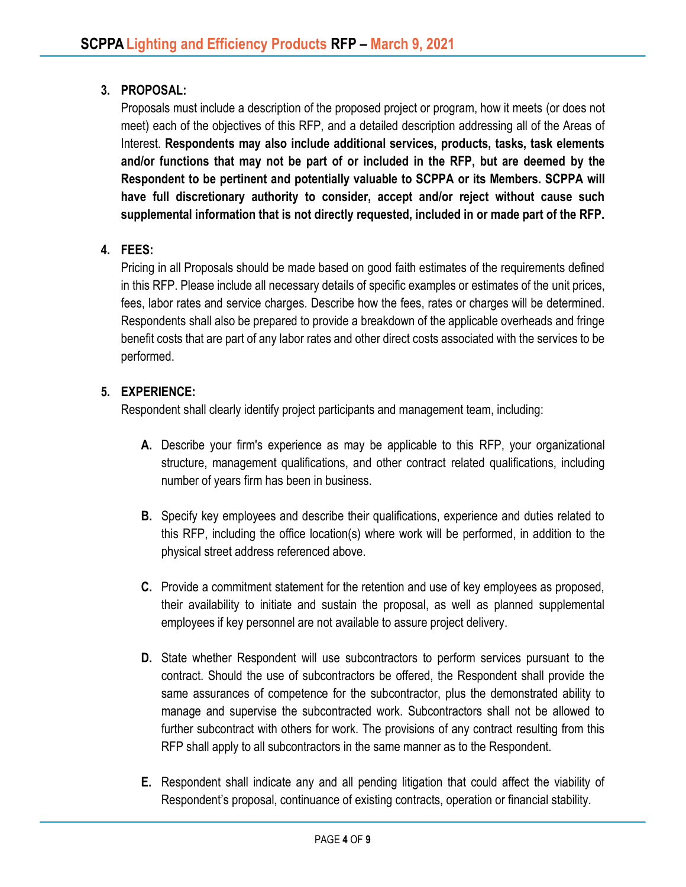### **3. PROPOSAL:**

Proposals must include a description of the proposed project or program, how it meets (or does not meet) each of the objectives of this RFP, and a detailed description addressing all of the Areas of Interest. **Respondents may also include additional services, products, tasks, task elements and/or functions that may not be part of or included in the RFP, but are deemed by the Respondent to be pertinent and potentially valuable to SCPPA or its Members. SCPPA will have full discretionary authority to consider, accept and/or reject without cause such supplemental information that is not directly requested, included in or made part of the RFP.**

### **4. FEES:**

Pricing in all Proposals should be made based on good faith estimates of the requirements defined in this RFP. Please include all necessary details of specific examples or estimates of the unit prices, fees, labor rates and service charges. Describe how the fees, rates or charges will be determined. Respondents shall also be prepared to provide a breakdown of the applicable overheads and fringe benefit costs that are part of any labor rates and other direct costs associated with the services to be performed.

#### **5. EXPERIENCE:**

Respondent shall clearly identify project participants and management team, including:

- **A.** Describe your firm's experience as may be applicable to this RFP, your organizational structure, management qualifications, and other contract related qualifications, including number of years firm has been in business.
- **B.** Specify key employees and describe their qualifications, experience and duties related to this RFP, including the office location(s) where work will be performed, in addition to the physical street address referenced above.
- **C.** Provide a commitment statement for the retention and use of key employees as proposed, their availability to initiate and sustain the proposal, as well as planned supplemental employees if key personnel are not available to assure project delivery.
- **D.** State whether Respondent will use subcontractors to perform services pursuant to the contract. Should the use of subcontractors be offered, the Respondent shall provide the same assurances of competence for the subcontractor, plus the demonstrated ability to manage and supervise the subcontracted work. Subcontractors shall not be allowed to further subcontract with others for work. The provisions of any contract resulting from this RFP shall apply to all subcontractors in the same manner as to the Respondent.
- **E.** Respondent shall indicate any and all pending litigation that could affect the viability of Respondent's proposal, continuance of existing contracts, operation or financial stability.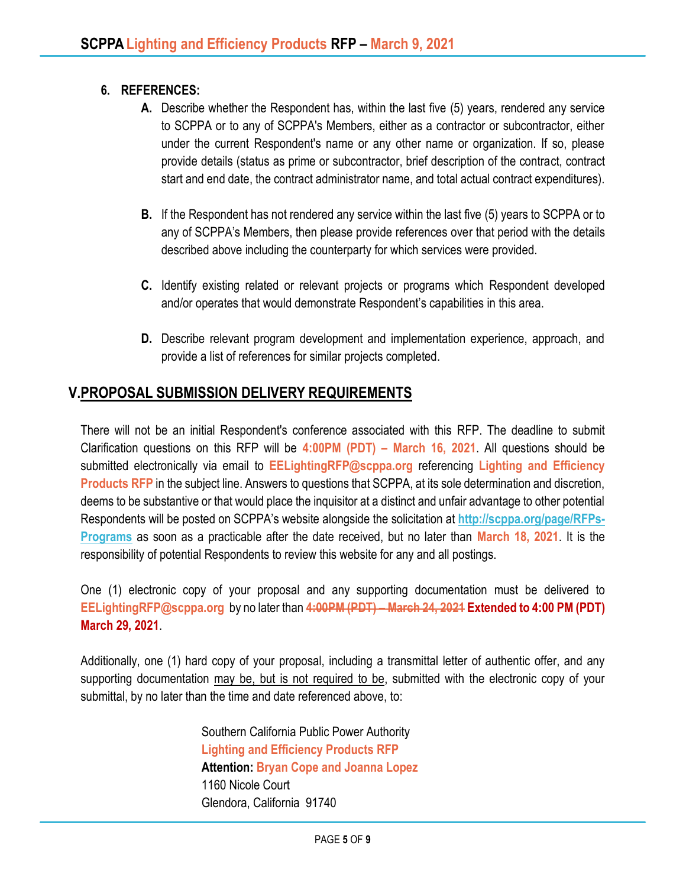### **6. REFERENCES:**

- **A.** Describe whether the Respondent has, within the last five (5) years, rendered any service to SCPPA or to any of SCPPA's Members, either as a contractor or subcontractor, either under the current Respondent's name or any other name or organization. If so, please provide details (status as prime or subcontractor, brief description of the contract, contract start and end date, the contract administrator name, and total actual contract expenditures).
- **B.** If the Respondent has not rendered any service within the last five (5) years to SCPPA or to any of SCPPA's Members, then please provide references over that period with the details described above including the counterparty for which services were provided.
- **C.** Identify existing related or relevant projects or programs which Respondent developed and/or operates that would demonstrate Respondent's capabilities in this area.
- **D.** Describe relevant program development and implementation experience, approach, and provide a list of references for similar projects completed.

# **V.PROPOSAL SUBMISSION DELIVERY REQUIREMENTS**

There will not be an initial Respondent's conference associated with this RFP. The deadline to submit Clarification questions on this RFP will be **4:00PM (PDT) – March 16, 2021**. All questions should be submitted electronically via email to **EELightingRFP@scppa.org** referencing **Lighting and Efficiency Products RFP** in the subject line. Answers to questions that SCPPA, at its sole determination and discretion, deems to be substantive or that would place the inquisitor at a distinct and unfair advantage to other potential Respondents will be posted on SCPPA's website alongside the solicitation at **[http://scppa.org/page/RFPs-](http://scppa.org/page/RFPs-Programs)[Programs](http://scppa.org/page/RFPs-Programs)** as soon as a practicable after the date received, but no later than **March 18, 2021**. It is the responsibility of potential Respondents to review this website for any and all postings.

One (1) electronic copy of your proposal and any supporting documentation must be delivered to **EELightingRFP@scppa.org** by no later than **4:00PM (PDT) – March 24, 2021 Extended to 4:00 PM (PDT) March 29, 2021**.

Additionally, one (1) hard copy of your proposal, including a transmittal letter of authentic offer, and any supporting documentation may be, but is not required to be, submitted with the electronic copy of your submittal, by no later than the time and date referenced above, to:

> Southern California Public Power Authority **Lighting and Efficiency Products RFP Attention: Bryan Cope and Joanna Lopez** 1160 Nicole Court Glendora, California 91740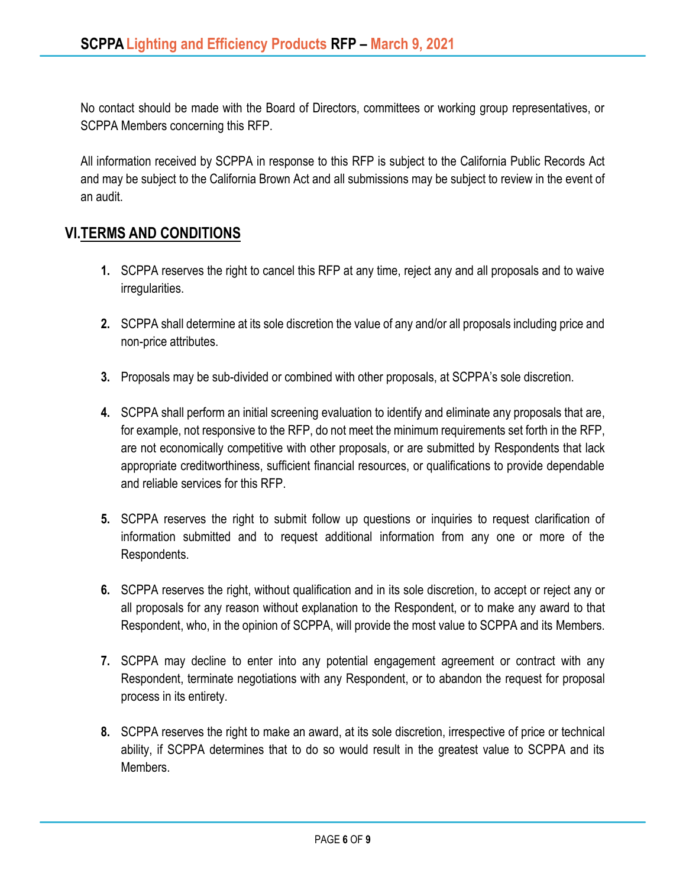No contact should be made with the Board of Directors, committees or working group representatives, or SCPPA Members concerning this RFP.

All information received by SCPPA in response to this RFP is subject to the California Public Records Act and may be subject to the California Brown Act and all submissions may be subject to review in the event of an audit.

# **VI.TERMS AND CONDITIONS**

- **1.** SCPPA reserves the right to cancel this RFP at any time, reject any and all proposals and to waive irregularities.
- **2.** SCPPA shall determine at its sole discretion the value of any and/or all proposals including price and non-price attributes.
- **3.** Proposals may be sub-divided or combined with other proposals, at SCPPA's sole discretion.
- **4.** SCPPA shall perform an initial screening evaluation to identify and eliminate any proposals that are, for example, not responsive to the RFP, do not meet the minimum requirements set forth in the RFP, are not economically competitive with other proposals, or are submitted by Respondents that lack appropriate creditworthiness, sufficient financial resources, or qualifications to provide dependable and reliable services for this RFP.
- **5.** SCPPA reserves the right to submit follow up questions or inquiries to request clarification of information submitted and to request additional information from any one or more of the Respondents.
- **6.** SCPPA reserves the right, without qualification and in its sole discretion, to accept or reject any or all proposals for any reason without explanation to the Respondent, or to make any award to that Respondent, who, in the opinion of SCPPA, will provide the most value to SCPPA and its Members.
- **7.** SCPPA may decline to enter into any potential engagement agreement or contract with any Respondent, terminate negotiations with any Respondent, or to abandon the request for proposal process in its entirety.
- **8.** SCPPA reserves the right to make an award, at its sole discretion, irrespective of price or technical ability, if SCPPA determines that to do so would result in the greatest value to SCPPA and its Members.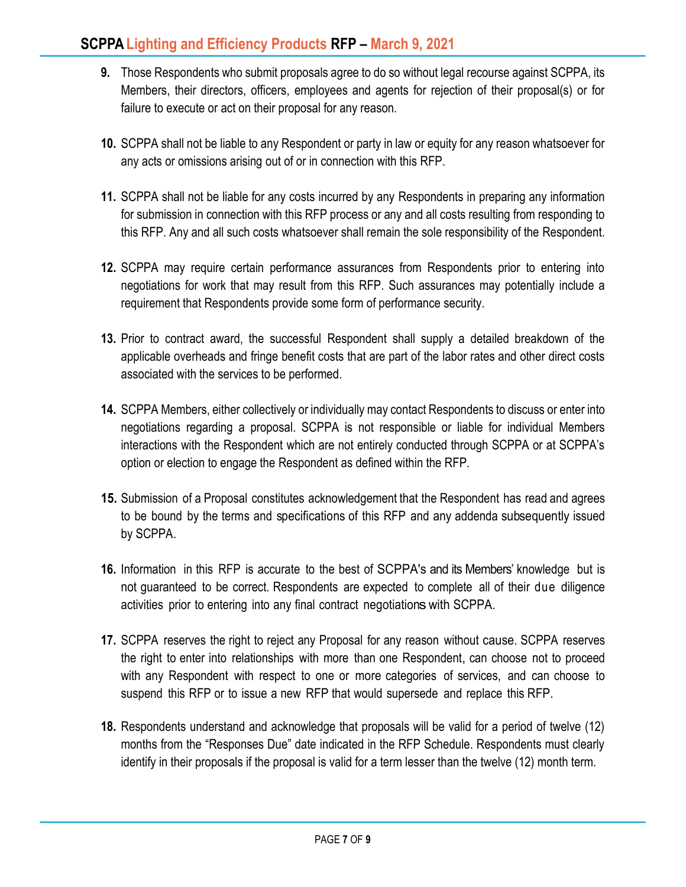- **9.** Those Respondents who submit proposals agree to do so without legal recourse against SCPPA, its Members, their directors, officers, employees and agents for rejection of their proposal(s) or for failure to execute or act on their proposal for any reason.
- **10.** SCPPA shall not be liable to any Respondent or party in law or equity for any reason whatsoever for any acts or omissions arising out of or in connection with this RFP.
- **11.** SCPPA shall not be liable for any costs incurred by any Respondents in preparing any information for submission in connection with this RFP process or any and all costs resulting from responding to this RFP. Any and all such costs whatsoever shall remain the sole responsibility of the Respondent.
- **12.** SCPPA may require certain performance assurances from Respondents prior to entering into negotiations for work that may result from this RFP. Such assurances may potentially include a requirement that Respondents provide some form of performance security.
- **13.** Prior to contract award, the successful Respondent shall supply a detailed breakdown of the applicable overheads and fringe benefit costs that are part of the labor rates and other direct costs associated with the services to be performed.
- **14.** SCPPA Members, either collectively or individually may contact Respondents to discuss or enter into negotiations regarding a proposal. SCPPA is not responsible or liable for individual Members interactions with the Respondent which are not entirely conducted through SCPPA or at SCPPA's option or election to engage the Respondent as defined within the RFP.
- **15.** Submission of a Proposal constitutes acknowledgement that the Respondent has read and agrees to be bound by the terms and specifications of this RFP and any addenda subsequently issued by SCPPA.
- **16.** Information in this RFP is accurate to the best of SCPPA's and its Members' knowledge but is not guaranteed to be correct. Respondents are expected to complete all of their due diligence activities prior to entering into any final contract negotiationswith SCPPA.
- **17.** SCPPA reserves the right to reject any Proposal for any reason without cause. SCPPA reserves the right to enter into relationships with more than one Respondent, can choose not to proceed with any Respondent with respect to one or more categories of services, and can choose to suspend this RFP or to issue a new RFP that would supersede and replace this RFP.
- **18.** Respondents understand and acknowledge that proposals will be valid for a period of twelve (12) months from the "Responses Due" date indicated in the RFP Schedule. Respondents must clearly identify in their proposals if the proposal is valid for a term lesser than the twelve (12) month term.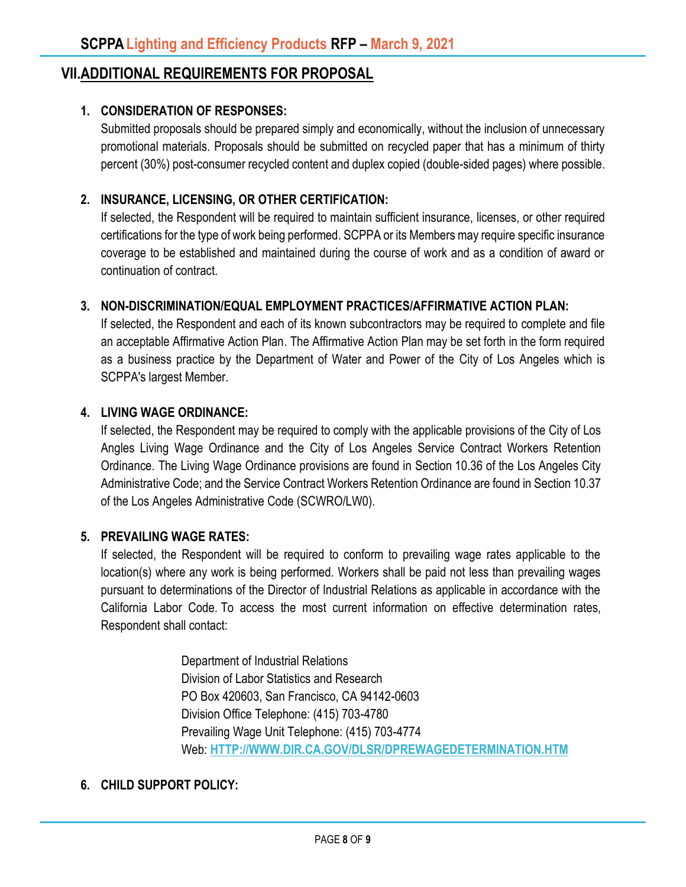### **VII.ADDITIONAL REQUIREMENTS FOR PROPOSAL**

### **1. CONSIDERATION OF RESPONSES:**

Submitted proposals should be prepared simply and economically, without the inclusion of unnecessary promotional materials. Proposals should be submitted on recycled paper that has a minimum of thirty percent (30%) post-consumer recycled content and duplex copied (double-sided pages) where possible.

#### **2. INSURANCE, LICENSING, OR OTHER CERTIFICATION:**

If selected, the Respondent will be required to maintain sufficient insurance, licenses, or other required certifications for the type of work being performed. SCPPA or its Members may require specific insurance coverage to be established and maintained during the course of work and as a condition of award or continuation of contract.

#### **3. NON-DISCRIMINATION/EQUAL EMPLOYMENT PRACTICES/AFFIRMATIVE ACTION PLAN:**

If selected, the Respondent and each of its known subcontractors may be required to complete and file an acceptable Affirmative Action Plan. The Affirmative Action Plan may be set forth in the form required as a business practice by the Department of Water and Power of the City of Los Angeles which is SCPPA's largest Member.

#### **4. LIVING WAGE ORDINANCE:**

If selected, the Respondent may be required to comply with the applicable provisions of the City of Los Angles Living Wage Ordinance and the City of Los Angeles Service Contract Workers Retention Ordinance. The Living Wage Ordinance provisions are found in Section 10.36 of the Los Angeles City Administrative Code; and the Service Contract Workers Retention Ordinance are found in Section 10.37 of the Los Angeles Administrative Code (SCWRO/LW0).

#### **5. PREVAILING WAGE RATES:**

If selected, the Respondent will be required to conform to prevailing wage rates applicable to the location(s) where any work is being performed. Workers shall be paid not less than prevailing wages pursuant to determinations of the Director of Industrial Relations as applicable in accordance with the California Labor Code. To access the most current information on effective determination rates, Respondent shall contact:

> Department of Industrial Relations Division of Labor Statistics and Research PO Box 420603, San Francisco, CA 94142-0603 Division Office Telephone: (415) 703-4780 Prevailing Wage Unit Telephone: (415) 703-4774 Web: **[HTTP://WWW.DIR.CA.GOV/DLSR/DPREWAGEDETERMINATION.HTM](http://www.dir.ca.gov/dlsr/DPreWageDetermination.htm)**

### **6. CHILD SUPPORT POLICY:**